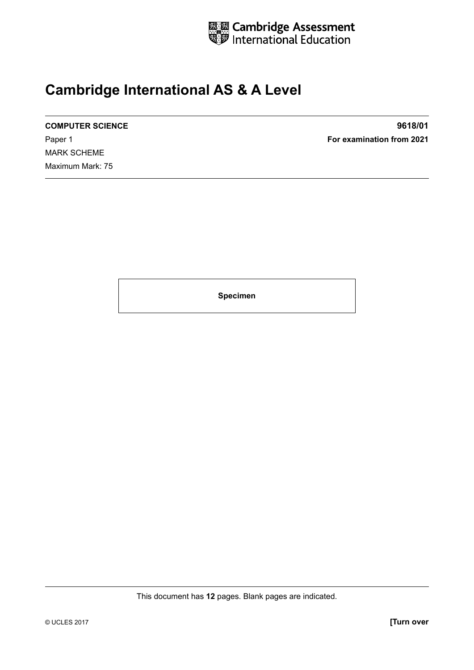

## **Cambridge International AS & A Level**

MARK SCHEME Maximum Mark: 75

**COMPUTER SCIENCE 9618/01** Paper 1 **For examination from 2021**

**Specimen**

This document has **12** pages. Blank pages are indicated.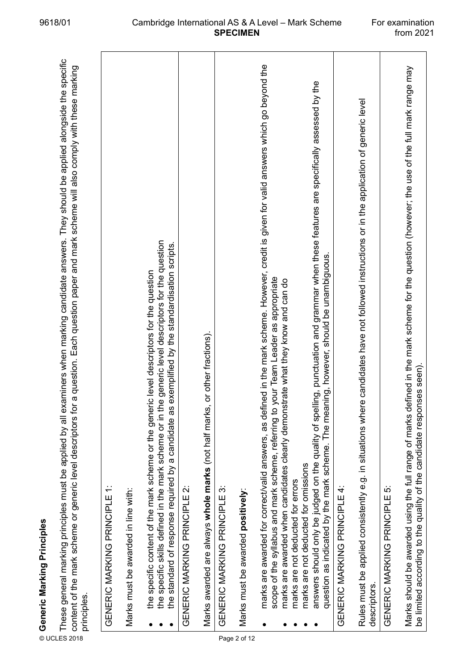| content of the mark scheme or generic level descriptors for<br>⊚ Generic Marking Principles<br>E These general marking principl<br>≌ content of the mark scheme or<br>≈ cripcioc<br>principles. | These general marking principles must be applied by all examiners when marking candidate answers. They should be applied alongside the specific<br>a question. Each question paper and mark scheme will also comply with these marking                          |  |
|-------------------------------------------------------------------------------------------------------------------------------------------------------------------------------------------------|-----------------------------------------------------------------------------------------------------------------------------------------------------------------------------------------------------------------------------------------------------------------|--|
| GENERIC MARKING PRINCIPLE                                                                                                                                                                       | $\div$                                                                                                                                                                                                                                                          |  |
| Marks must be awarded in line with:                                                                                                                                                             |                                                                                                                                                                                                                                                                 |  |
| the standard of response required by a candidate as                                                                                                                                             | the specific skills defined in the mark scheme or in the generic level descriptors for the question<br>exemplified by the standardisation scripts.<br>the specific content of the mark scheme or the generic level descriptors for the question                 |  |
| GENERIC MARKING PRINCIPLE 2:                                                                                                                                                                    |                                                                                                                                                                                                                                                                 |  |
| Marks awarded are always whole marks (not half marks,                                                                                                                                           | or other fractions).                                                                                                                                                                                                                                            |  |
| GENERIC MARKING PRINCIPLE 3:                                                                                                                                                                    |                                                                                                                                                                                                                                                                 |  |
| Marks must be awarded positively:<br>Page 2 of 12                                                                                                                                               |                                                                                                                                                                                                                                                                 |  |
| marks are awarded for correct/valid answers, as defin                                                                                                                                           | ed in the mark scheme. However, credit is given for valid answers which go beyond the<br>scope of the syllabus and mark scheme, referring to your Team Leader as appropriate<br>marks are awarded when candidates clearly demonstrate what they know and can do |  |
| marks are not deducted for omissions<br>marks are not deducted for errors                                                                                                                       | answers should only be judged on the quality of spelling, punctuation and grammar when these features are specifically assessed by the<br>question as indicated by the mark scheme. The meaning, however, should be unambiguous.                                |  |
| GENERIC MARKING PRINCIPLE 4:                                                                                                                                                                    |                                                                                                                                                                                                                                                                 |  |
| Rules must be applied consistently e.g. in situations where<br>descriptors.                                                                                                                     | candidates have not followed instructions or in the application of generic level                                                                                                                                                                                |  |
| GENERIC MARKING PRINCIPLE 5:                                                                                                                                                                    |                                                                                                                                                                                                                                                                 |  |
|                                                                                                                                                                                                 | Marks should be awarded using the full range of marks defined in the mark scheme for the question (however; the use of the full mark range may<br>be limited according to the quality of the candidate responses seen).                                         |  |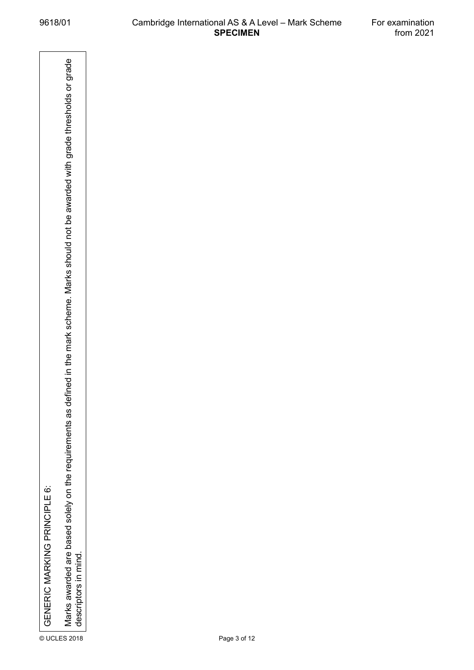© UCENERIC MARKING PRINCIPLE 6:<br>*In Marks awarded are based solely on the requirement*s as *defined in the rnark scheme. Marks should not be awarded with grade thresholds or grade*<br>a descriptors in mind.<br>a descriptors in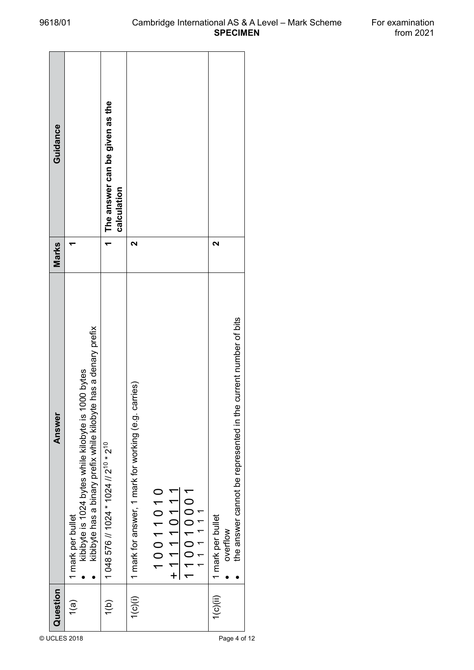| Guidance |                                                                                                                                              | The answer can be given as the<br>calculation                 |                                                         |          |             |          |                               |                                                                    |
|----------|----------------------------------------------------------------------------------------------------------------------------------------------|---------------------------------------------------------------|---------------------------------------------------------|----------|-------------|----------|-------------------------------|--------------------------------------------------------------------|
| Marks    |                                                                                                                                              |                                                               | 2                                                       |          |             |          | ິ                             |                                                                    |
| Answer   | kibibyte has a binary prefix while kilobyte has a denary prefix<br>1000 bytes<br>kibibyte is 1024 bytes while kilobyte is<br>mark per bullet | 1 048 576 // 1024 * 1024 // 2 <sup>10</sup> * 2 <sup>10</sup> | carries)<br>1 mark for answer, 1 mark for working (e.g. | 10011010 | $+11110111$ | 10010001 | 1 mark per bullet<br>overflow | e current number of bits<br>the answer cannot be represented in th |
| Question | $\overline{\mathbf{1}}$ (a)                                                                                                                  | $\overline{1(0)}$                                             | 1(c)(i)                                                 |          |             |          | 1(c)(ii)                      |                                                                    |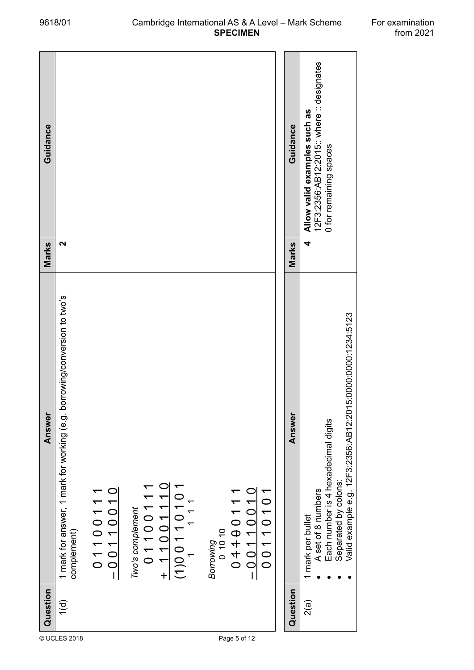| Guidance |                                                                                                                                                                            |                                                                                            | Guidance | 12F3:2356:AB12:2015:: where :: designates<br>Allow valid examples such as<br>0 for remaining spaces                                                                  |
|----------|----------------------------------------------------------------------------------------------------------------------------------------------------------------------------|--------------------------------------------------------------------------------------------|----------|----------------------------------------------------------------------------------------------------------------------------------------------------------------------|
| Marks    | 2                                                                                                                                                                          |                                                                                            | Marks    | 4                                                                                                                                                                    |
| Answer   | borrowing/conversion to two's<br>1 mark for answer, 1 mark for working (e.g.<br>$+ 11001110$<br>$\frac{01100111}{-00110010}$<br>0110011<br>Two's complement<br>complement) | $\frac{(1)00110101}{(1010101)}$<br>$-0011001$<br>00110101<br>0444011<br>01010<br>Borrowing | Answer   | Valid example e.g. 12F3:2356:AB12:2015:0000:0000:1234:5123<br>Each number is 4 hexadecimal digits<br>Separated by colons:<br>A set of 8 numbers<br>1 mark per bullet |
| Question | 1(d)                                                                                                                                                                       |                                                                                            | Question | 2(a)                                                                                                                                                                 |
|          | © UCLES 2018                                                                                                                                                               | Page 5 of 12                                                                               |          |                                                                                                                                                                      |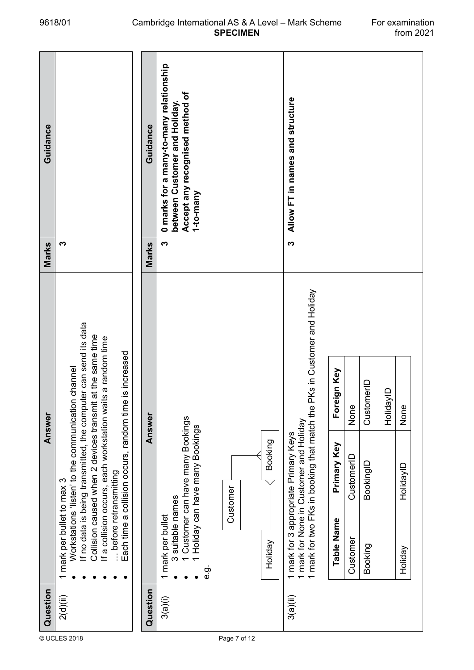| Question |                                                                                                                                  |                                                                                              | Answer                                                                                                                                                                                                                                                |                             | Marks | Guidance                                                                                                                 |
|----------|----------------------------------------------------------------------------------------------------------------------------------|----------------------------------------------------------------------------------------------|-------------------------------------------------------------------------------------------------------------------------------------------------------------------------------------------------------------------------------------------------------|-----------------------------|-------|--------------------------------------------------------------------------------------------------------------------------|
| 2(d)(ii) | before retransmitting<br>1 mark per bullet to max 3                                                                              | Workstations 'listen' to the communication channel                                           | If no data is being transmitted, the computer can send its data<br>Collision caused when 2 devices transmit at the same time<br>If a collision occurs, each workstation waits a random time<br>Each time a collision occurs, random time is increased |                             | S     |                                                                                                                          |
| Question |                                                                                                                                  |                                                                                              | Answer                                                                                                                                                                                                                                                |                             | Marks | Guidance                                                                                                                 |
| 3(a)(i)  | 3 suitable names<br>1 mark per bullet<br>Holiday<br>င်္ဘ                                                                         | 1 Customer can have many Bookings<br>1 Holiday can have many Bookings<br>Booking<br>Customer |                                                                                                                                                                                                                                                       |                             | S     | 0 marks for a many-to-many relationship<br>Accept any recognised method of<br>between Customer and Holiday.<br>1-to-many |
|          |                                                                                                                                  |                                                                                              |                                                                                                                                                                                                                                                       |                             |       |                                                                                                                          |
| 3(a)(ii) | 1 mark for two FKs in booking that match the<br>1 mark for None in Customer and Holiday<br>1 mark for 3 appropriate Primary Keys |                                                                                              |                                                                                                                                                                                                                                                       | PKs in Customer and Holiday | S     | Allow FT in names and structure                                                                                          |
|          | Table Name                                                                                                                       | Primary Key                                                                                  | Foreign Key                                                                                                                                                                                                                                           |                             |       |                                                                                                                          |
|          | Customer                                                                                                                         | CustomerID                                                                                   | None                                                                                                                                                                                                                                                  |                             |       |                                                                                                                          |
|          | Booking                                                                                                                          | BookingID                                                                                    | CustomerID                                                                                                                                                                                                                                            |                             |       |                                                                                                                          |
|          |                                                                                                                                  |                                                                                              | HolidayID                                                                                                                                                                                                                                             |                             |       |                                                                                                                          |
|          | Holiday                                                                                                                          | HolidayID                                                                                    | None                                                                                                                                                                                                                                                  |                             |       |                                                                                                                          |
|          |                                                                                                                                  |                                                                                              |                                                                                                                                                                                                                                                       |                             |       |                                                                                                                          |

## 9618/01 Cambridge International AS & A Level – Mark Scheme For examination<br>1021 from 2021 **SPECIMEN**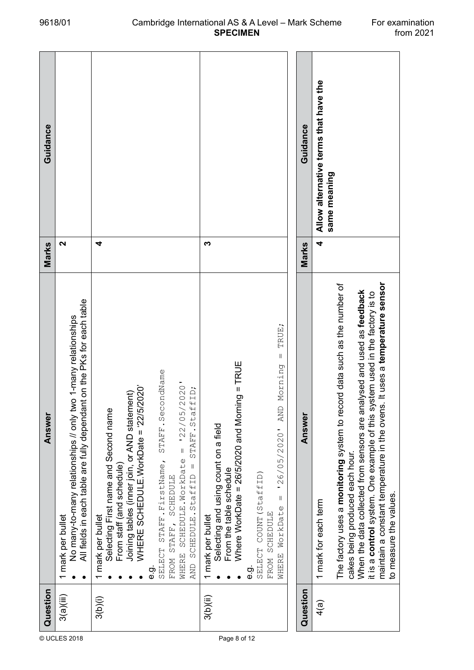| Guidance |                                                                                                                                                               |                                                                                                                                                                                                                                                                                                                                                                                      |                                                                                                                                                                                                                                                                                           | Guidance | Allow alternative terms that have the<br>same meaning                                                                                                                                                                                                                                                                                                                            |
|----------|---------------------------------------------------------------------------------------------------------------------------------------------------------------|--------------------------------------------------------------------------------------------------------------------------------------------------------------------------------------------------------------------------------------------------------------------------------------------------------------------------------------------------------------------------------------|-------------------------------------------------------------------------------------------------------------------------------------------------------------------------------------------------------------------------------------------------------------------------------------------|----------|----------------------------------------------------------------------------------------------------------------------------------------------------------------------------------------------------------------------------------------------------------------------------------------------------------------------------------------------------------------------------------|
| Marks    | 2                                                                                                                                                             | 4                                                                                                                                                                                                                                                                                                                                                                                    | ∾                                                                                                                                                                                                                                                                                         | Marks    | 4                                                                                                                                                                                                                                                                                                                                                                                |
| Answer   | All fields in each table are fully dependant on the PKs for each table<br>No many-to-many relationships // only two 1-many relationships<br>1 mark per bullet | STAFF.SecondName<br>$= 122/05/2020$<br>WHERE SCHEDULE.WorkDate = '22/5/2020'<br>STAFF.StaffID;<br>Joining tables (inner join, or AND statement)<br>Selecting First name and Second name<br>WHERE SCHEDULE.WorkDate<br>SELECT STAFF. FirstName,<br>$\parallel$<br>From staff (and schedule)<br>AND SCHEDULE.StaffID<br><b>SCHEDULE</b><br>1 mark per bullet<br>FROM STAFF,<br>ن<br>نه | TRUE;<br>$\sf II$<br>Where WorkDate = 26/5/2020 and Morning = TRUE<br>Morning<br><b>AND</b><br>Selecting and using count on a field<br>126/05/2020<br>From the table schedule<br>SELECT COUNT (StaffID)<br>$\vert\vert$<br>WHERE WorkDate<br>FROM SCHEDULE<br>1 mark per bullet<br>ن<br>ف | Answer   | maintain a constant temperature in the ovens. It uses a temperature sensor<br>The factory uses a monitoring system to record data such as the number of<br>nalysed and used as feedback<br>it is a control system. One example of this system used in the factory is to<br>When the data collected from sensors are a<br>cakes being produced each hour.<br>1 mark for each term |
| Question | 3(a)(iii)                                                                                                                                                     | 3(b)(i)                                                                                                                                                                                                                                                                                                                                                                              | 3(b)(ii)                                                                                                                                                                                                                                                                                  | Question | 4(a)                                                                                                                                                                                                                                                                                                                                                                             |
|          | © UCLES 2018                                                                                                                                                  |                                                                                                                                                                                                                                                                                                                                                                                      | Page 8 of 12                                                                                                                                                                                                                                                                              |          |                                                                                                                                                                                                                                                                                                                                                                                  |

to measure the values.

to measure the values.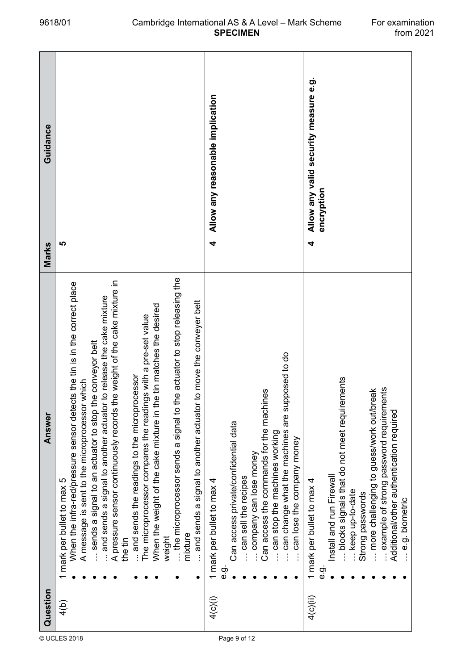| When the infra-red/pressure sensor detects the tin is in the correct place<br>A message is sent to the microprocessor which<br>1 mark per bullet to max 5                                                                                                                                                |
|----------------------------------------------------------------------------------------------------------------------------------------------------------------------------------------------------------------------------------------------------------------------------------------------------------|
| A pressure sensor continuously records the weight of the cake mixture in<br>and sends a signal to another actuator to release the cake mixture<br>and sends the readings to the microprocessor<br>sends a signal to an actuator to stop<br>the tin                                                       |
| When the weight of the cake mixture in the tin matches the desired<br>The microprocessor compares the readings with a pre-set value<br>the microprocessor sends a signal to<br>mixture<br>weight                                                                                                         |
| and sends a signal to another actuator to move the conveyer belt                                                                                                                                                                                                                                         |
| can change what the machines are supposed to do<br>Can access the commands for the machines<br>Can access private/confidential data<br>can stop the machines working<br>can lose the company money<br>company can lose money<br>can sell the recipes<br>1 mark per bullet to max 4<br>တ်<br>စ            |
| example of strong password requirements<br>more challenging to guess/work out/break<br>blocks signals that do not meet required<br>Additional/other authentication required<br>Install and run Firewall<br>1 mark per bullet to max 4<br>- keep up-to-date<br>Strong passwords<br>e.g. biometric<br>င်္ဘ |

## 9618/01 Cambridge International AS & A Level – Mark Scheme For examination<br>1021 from 2021 **SPECIMEN**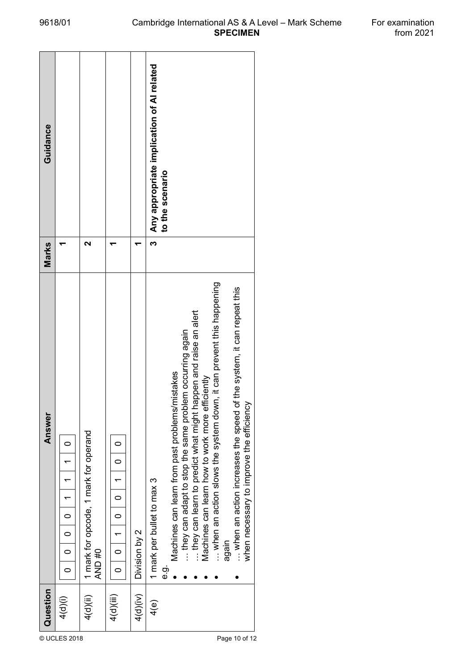| Question                | Answer                                                                                                                                                                                                                                                                                                                                                                                                                                                                        | Marks                | Guidance                                  |
|-------------------------|-------------------------------------------------------------------------------------------------------------------------------------------------------------------------------------------------------------------------------------------------------------------------------------------------------------------------------------------------------------------------------------------------------------------------------------------------------------------------------|----------------------|-------------------------------------------|
| 4(d)(i)<br>© UCLES 2018 | $\circ$<br>$\overline{a}$<br>$\overline{a}$<br>$\frac{1}{\sqrt{2}}$<br>$\overline{\phantom{0}}$<br>$\circ$                                                                                                                                                                                                                                                                                                                                                                    |                      |                                           |
| 4(d)(ii)                | 1 mark for opcode, 1 mark for operand<br>AND #0                                                                                                                                                                                                                                                                                                                                                                                                                               | ี่                   |                                           |
| 4(d)(iii)               | 0<br>$\subset$<br>$\circ$<br>$\circ$<br>٣<br>$\circ$<br>$\circ$                                                                                                                                                                                                                                                                                                                                                                                                               |                      |                                           |
| 4(d)(iv)                | Division by 2                                                                                                                                                                                                                                                                                                                                                                                                                                                                 |                      |                                           |
| 4(e)<br>Page 10 of 12   | when an action slows the system down, it can prevent this happening<br>when an action increases the speed of the system, it can repeat this<br>they can learn to predict what might happen and raise an alert<br>lem occurring again<br>Machines can learn from past problems/mistakes<br>Machines can learn how to work more efficiently<br>they can adapt to stop the same probl<br>when necessary to improve the efficiency<br>1 mark per bullet to max 3<br>again<br>င်္ဘ | to the scenario<br>ო | Any appropriate implication of AI related |

**SPECIMEN**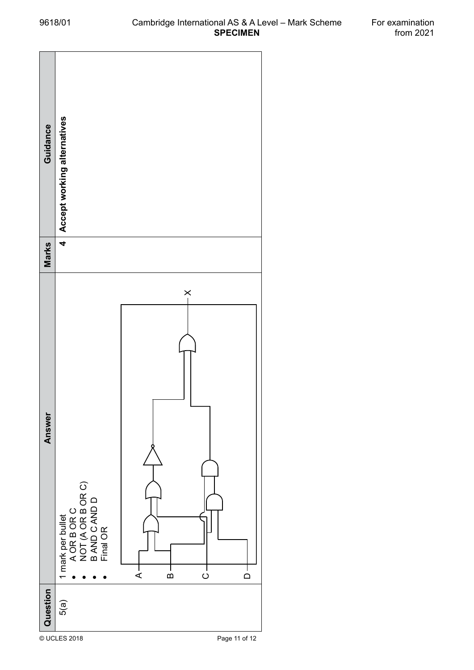